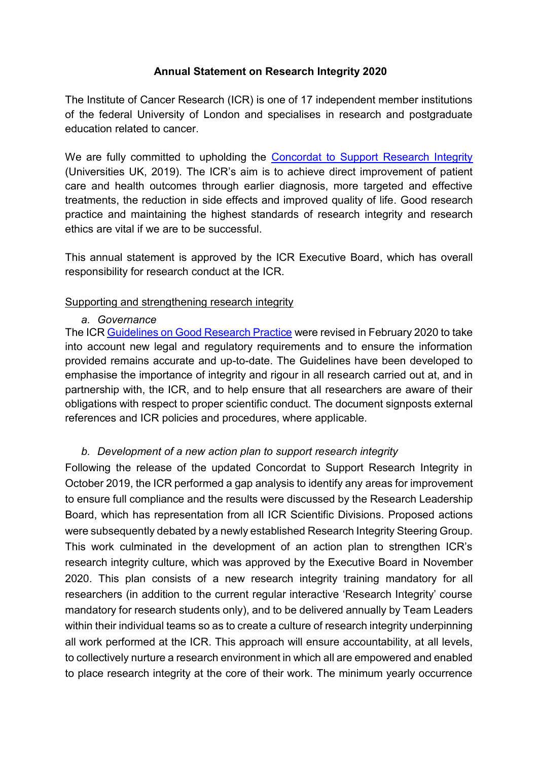## **Annual Statement on Research Integrity 2020**

The Institute of Cancer Research (ICR) is one of 17 independent member institutions of the federal University of London and specialises in research and postgraduate education related to cancer.

We are fully committed to upholding the [Concordat to Support Research Integrity](https://www.universitiesuk.ac.uk/policy-and-analysis/reports/Documents/2019/the-concordat-to-support-research-integrity.pdf) (Universities UK, 2019). The ICR's aim is to achieve direct improvement of patient care and health outcomes through earlier diagnosis, more targeted and effective treatments, the reduction in side effects and improved quality of life. Good research practice and maintaining the highest standards of research integrity and research ethics are vital if we are to be successful.

This annual statement is approved by the ICR Executive Board, which has overall responsibility for research conduct at the ICR.

#### Supporting and strengthening research integrity

#### *a. Governance*

The ICR [Guidelines on Good Research Practice](https://d1ijoxngr27nfi.cloudfront.net/docs/default-source/corporate-docs-accounts-and-annual-reports/annual-accounts/good-research-practice-guideline.pdf?sfvrsn=1fdb5269_2) were revised in February 2020 to take into account new legal and regulatory requirements and to ensure the information provided remains accurate and up-to-date. The Guidelines have been developed to emphasise the importance of integrity and rigour in all research carried out at, and in partnership with, the ICR, and to help ensure that all researchers are aware of their obligations with respect to proper scientific conduct. The document signposts external references and ICR policies and procedures, where applicable.

## *b. Development of a new action plan to support research integrity*

Following the release of the updated Concordat to Support Research Integrity in October 2019, the ICR performed a gap analysis to identify any areas for improvement to ensure full compliance and the results were discussed by the Research Leadership Board, which has representation from all ICR Scientific Divisions. Proposed actions were subsequently debated by a newly established Research Integrity Steering Group. This work culminated in the development of an action plan to strengthen ICR's research integrity culture, which was approved by the Executive Board in November 2020. This plan consists of a new research integrity training mandatory for all researchers (in addition to the current regular interactive 'Research Integrity' course mandatory for research students only), and to be delivered annually by Team Leaders within their individual teams so as to create a culture of research integrity underpinning all work performed at the ICR. This approach will ensure accountability, at all levels, to collectively nurture a research environment in which all are empowered and enabled to place research integrity at the core of their work. The minimum yearly occurrence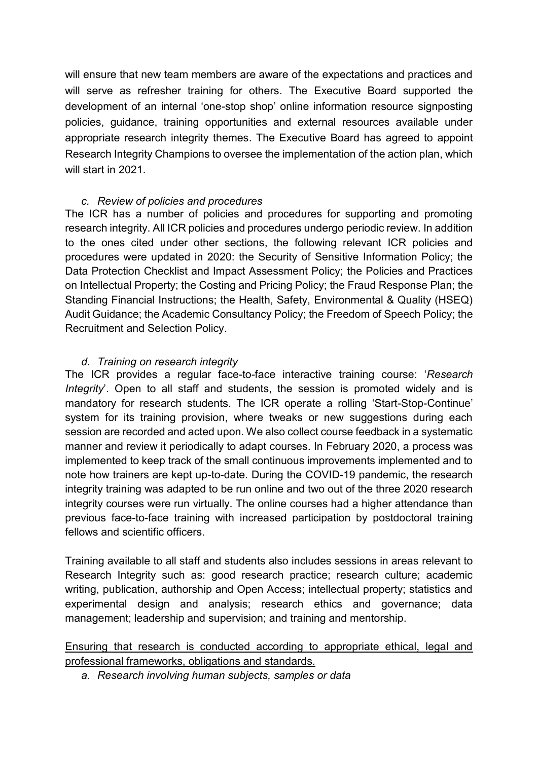will ensure that new team members are aware of the expectations and practices and will serve as refresher training for others. The Executive Board supported the development of an internal 'one-stop shop' online information resource signposting policies, guidance, training opportunities and external resources available under appropriate research integrity themes. The Executive Board has agreed to appoint Research Integrity Champions to oversee the implementation of the action plan, which will start in 2021.

### *c. Review of policies and procedures*

The ICR has a number of policies and procedures for supporting and promoting research integrity. All ICR policies and procedures undergo periodic review. In addition to the ones cited under other sections, the following relevant ICR policies and procedures were updated in 2020: the Security of Sensitive Information Policy; the Data Protection Checklist and Impact Assessment Policy; the Policies and Practices on Intellectual Property; the Costing and Pricing Policy; the Fraud Response Plan; the Standing Financial Instructions; the Health, Safety, Environmental & Quality (HSEQ) Audit Guidance; the Academic Consultancy Policy; the Freedom of Speech Policy; the Recruitment and Selection Policy.

### *d. Training on research integrity*

The ICR provides a regular face-to-face interactive training course: '*Research Integrity*'. Open to all staff and students, the session is promoted widely and is mandatory for research students. The ICR operate a rolling 'Start-Stop-Continue' system for its training provision, where tweaks or new suggestions during each session are recorded and acted upon. We also collect course feedback in a systematic manner and review it periodically to adapt courses. In February 2020, a process was implemented to keep track of the small continuous improvements implemented and to note how trainers are kept up-to-date. During the COVID-19 pandemic, the research integrity training was adapted to be run online and two out of the three 2020 research integrity courses were run virtually. The online courses had a higher attendance than previous face-to-face training with increased participation by postdoctoral training fellows and scientific officers.

Training available to all staff and students also includes sessions in areas relevant to Research Integrity such as: good research practice; research culture; academic writing, publication, authorship and Open Access; intellectual property; statistics and experimental design and analysis; research ethics and governance; data management; leadership and supervision; and training and mentorship.

# Ensuring that research is conducted according to appropriate ethical, legal and professional frameworks, obligations and standards.

*a. Research involving human subjects, samples or data*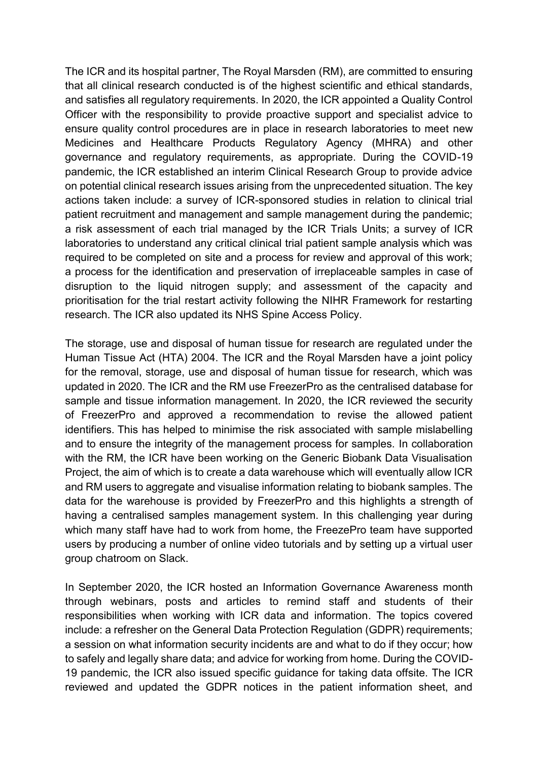The ICR and its hospital partner, The Royal Marsden (RM), are committed to ensuring that all clinical research conducted is of the highest scientific and ethical standards, and satisfies all regulatory requirements. In 2020, the ICR appointed a Quality Control Officer with the responsibility to provide proactive support and specialist advice to ensure quality control procedures are in place in research laboratories to meet new Medicines and Healthcare Products Regulatory Agency (MHRA) and other governance and regulatory requirements, as appropriate. During the COVID-19 pandemic, the ICR established an interim Clinical Research Group to provide advice on potential clinical research issues arising from the unprecedented situation. The key actions taken include: a survey of ICR-sponsored studies in relation to clinical trial patient recruitment and management and sample management during the pandemic; a risk assessment of each trial managed by the ICR Trials Units; a survey of ICR laboratories to understand any critical clinical trial patient sample analysis which was required to be completed on site and a process for review and approval of this work; a process for the identification and preservation of irreplaceable samples in case of disruption to the liquid nitrogen supply; and assessment of the capacity and prioritisation for the trial restart activity following the NIHR Framework for restarting research. The ICR also updated its NHS Spine Access Policy.

The storage, use and disposal of human tissue for research are regulated under the Human Tissue Act (HTA) 2004. The ICR and the Royal Marsden have a joint policy for the removal, storage, use and disposal of human tissue for research, which was updated in 2020. The ICR and the RM use FreezerPro as the centralised database for sample and tissue information management. In 2020, the ICR reviewed the security of FreezerPro and approved a recommendation to revise the allowed patient identifiers. This has helped to minimise the risk associated with sample mislabelling and to ensure the integrity of the management process for samples. In collaboration with the RM, the ICR have been working on the Generic Biobank Data Visualisation Project, the aim of which is to create a data warehouse which will eventually allow ICR and RM users to aggregate and visualise information relating to biobank samples. The data for the warehouse is provided by FreezerPro and this highlights a strength of having a centralised samples management system. In this challenging year during which many staff have had to work from home, the FreezePro team have supported users by producing a number of online video tutorials and by setting up a virtual user group chatroom on Slack.

In September 2020, the ICR hosted an Information Governance Awareness month through webinars, posts and articles to remind staff and students of their responsibilities when working with ICR data and information. The topics covered include: a refresher on the General Data Protection Regulation (GDPR) requirements; a session on what information security incidents are and what to do if they occur; how to safely and legally share data; and advice for working from home. During the COVID-19 pandemic, the ICR also issued specific guidance for taking data offsite. The ICR reviewed and updated the GDPR notices in the patient information sheet, and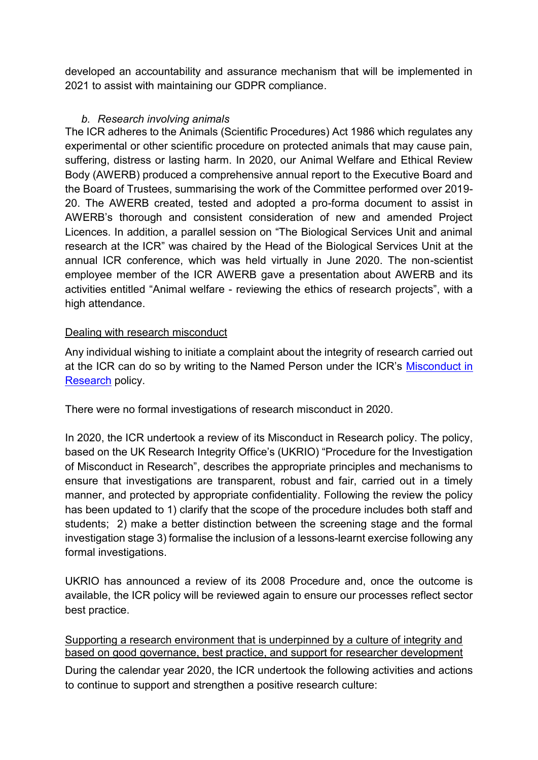developed an accountability and assurance mechanism that will be implemented in 2021 to assist with maintaining our GDPR compliance.

## *b. Research involving animals*

The ICR adheres to the Animals (Scientific Procedures) Act 1986 which regulates any experimental or other scientific procedure on protected animals that may cause pain, suffering, distress or lasting harm. In 2020, our Animal Welfare and Ethical Review Body (AWERB) produced a comprehensive annual report to the Executive Board and the Board of Trustees, summarising the work of the Committee performed over 2019- 20. The AWERB created, tested and adopted a pro-forma document to assist in AWERB's thorough and consistent consideration of new and amended Project Licences. In addition, a parallel session on "The Biological Services Unit and animal research at the ICR" was chaired by the Head of the Biological Services Unit at the annual ICR conference, which was held virtually in June 2020. The non-scientist employee member of the ICR AWERB gave a presentation about AWERB and its activities entitled "Animal welfare - reviewing the ethics of research projects", with a high attendance.

# Dealing with research misconduct

Any individual wishing to initiate a complaint about the integrity of research carried out at the ICR can do so by writing to the Named Person under the ICR's Misconduct in [Research](https://d1ijoxngr27nfi.cloudfront.net/docs/default-source/corporate-docs-accounts-and-annual-reports/annual-accounts/misconduct-in-research.pdf?sfvrsn=e6db5269_4) policy.

There were no formal investigations of research misconduct in 2020.

In 2020, the ICR undertook a review of its Misconduct in Research policy. The policy, based on the UK Research Integrity Office's (UKRIO) "Procedure for the Investigation of Misconduct in Research", describes the appropriate principles and mechanisms to ensure that investigations are transparent, robust and fair, carried out in a timely manner, and protected by appropriate confidentiality. Following the review the policy has been updated to 1) clarify that the scope of the procedure includes both staff and students; 2) make a better distinction between the screening stage and the formal investigation stage 3) formalise the inclusion of a lessons-learnt exercise following any formal investigations.

UKRIO has announced a review of its 2008 Procedure and, once the outcome is available, the ICR policy will be reviewed again to ensure our processes reflect sector best practice.

## Supporting a research environment that is underpinned by a culture of integrity and based on good governance, best practice, and support for researcher development

During the calendar year 2020, the ICR undertook the following activities and actions to continue to support and strengthen a positive research culture: